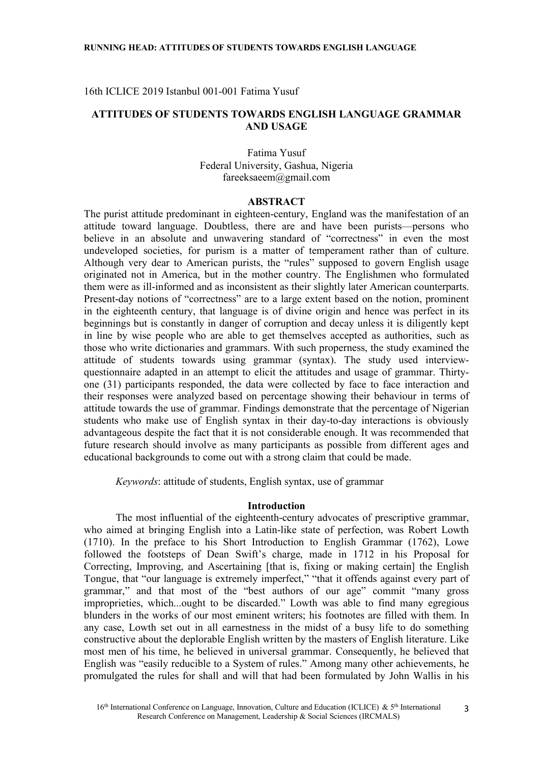16th ICLICE 2019 Istanbul 001-001 Fatima Yusuf

# **ATTITUDES OF STUDENTS TOWARDS ENGLISH LANGUAGE GRAMMAR AND USAGE**

Fatima Yusuf Federal University, Gashua, Nigeria fareeksaeem@gmail.com

# **ABSTRACT**

The purist attitude predominant in eighteen-century, England was the manifestation of an attitude toward language. Doubtless, there are and have been purists—persons who believe in an absolute and unwavering standard of "correctness" in even the most undeveloped societies, for purism is a matter of temperament rather than of culture. Although very dear to American purists, the "rules" supposed to govern English usage originated not in America, but in the mother country. The Englishmen who formulated them were as ill-informed and as inconsistent as their slightly later American counterparts. Present-day notions of "correctness" are to a large extent based on the notion, prominent in the eighteenth century, that language is of divine origin and hence was perfect in its beginnings but is constantly in danger of corruption and decay unless it is diligently kept in line by wise people who are able to get themselves accepted as authorities, such as those who write dictionaries and grammars. With such properness, the study examined the attitude of students towards using grammar (syntax). The study used interviewquestionnaire adapted in an attempt to elicit the attitudes and usage of grammar. Thirtyone (31) participants responded, the data were collected by face to face interaction and their responses were analyzed based on percentage showing their behaviour in terms of attitude towards the use of grammar. Findings demonstrate that the percentage of Nigerian students who make use of English syntax in their day-to-day interactions is obviously advantageous despite the fact that it is not considerable enough. It was recommended that future research should involve as many participants as possible from different ages and educational backgrounds to come out with a strong claim that could be made.

*Keywords*: attitude of students, English syntax, use of grammar

#### **Introduction**

The most influential of the eighteenth-century advocates of prescriptive grammar, who aimed at bringing English into a Latin-like state of perfection, was Robert Lowth (1710). In the preface to his Short Introduction to English Grammar (1762), Lowe followed the footsteps of Dean Swift's charge, made in 1712 in his Proposal for Correcting, Improving, and Ascertaining [that is, fixing or making certain] the English Tongue, that "our language is extremely imperfect," "that it offends against every part of grammar," and that most of the "best authors of our age" commit "many gross improprieties, which...ought to be discarded." Lowth was able to find many egregious blunders in the works of our most eminent writers; his footnotes are filled with them. In any case, Lowth set out in all earnestness in the midst of a busy life to do something constructive about the deplorable English written by the masters of English literature. Like most men of his time, he believed in universal grammar. Consequently, he believed that English was "easily reducible to a System of rules." Among many other achievements, he promulgated the rules for shall and will that had been formulated by John Wallis in his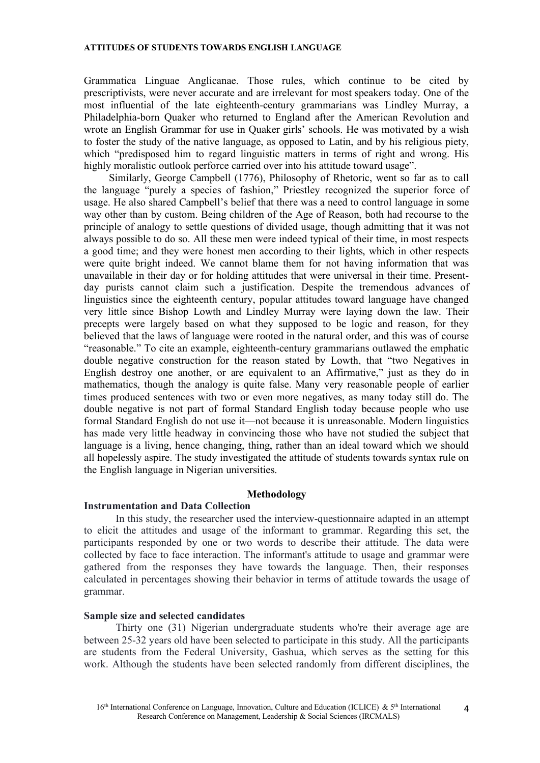Grammatica Linguae Anglicanae. Those rules, which continue to be cited by prescriptivists, were never accurate and are irrelevant for most speakers today. One of the most influential of the late eighteenth-century grammarians was Lindley Murray, a Philadelphia-born Quaker who returned to England after the American Revolution and wrote an English Grammar for use in Quaker girls' schools. He was motivated by a wish to foster the study of the native language, as opposed to Latin, and by his religious piety, which "predisposed him to regard linguistic matters in terms of right and wrong. His highly moralistic outlook perforce carried over into his attitude toward usage".

Similarly, George Campbell (1776), Philosophy of Rhetoric, went so far as to call the language "purely a species of fashion," Priestley recognized the superior force of usage. He also shared Campbell's belief that there was a need to control language in some way other than by custom. Being children of the Age of Reason, both had recourse to the principle of analogy to settle questions of divided usage, though admitting that it was not always possible to do so. All these men were indeed typical of their time, in most respects a good time; and they were honest men according to their lights, which in other respects were quite bright indeed. We cannot blame them for not having information that was unavailable in their day or for holding attitudes that were universal in their time. Presentday purists cannot claim such a justification. Despite the tremendous advances of linguistics since the eighteenth century, popular attitudes toward language have changed very little since Bishop Lowth and Lindley Murray were laying down the law. Their precepts were largely based on what they supposed to be logic and reason, for they believed that the laws of language were rooted in the natural order, and this was of course "reasonable." To cite an example, eighteenth-century grammarians outlawed the emphatic double negative construction for the reason stated by Lowth, that "two Negatives in English destroy one another, or are equivalent to an Affirmative," just as they do in mathematics, though the analogy is quite false. Many very reasonable people of earlier times produced sentences with two or even more negatives, as many today still do. The double negative is not part of formal Standard English today because people who use formal Standard English do not use it—not because it is unreasonable. Modern linguistics has made very little headway in convincing those who have not studied the subject that language is a living, hence changing, thing, rather than an ideal toward which we should all hopelessly aspire. The study investigated the attitude of students towards syntax rule on the English language in Nigerian universities.

# **Methodology**

### **Instrumentation and Data Collection**

In this study, the researcher used the interview-questionnaire adapted in an attempt to elicit the attitudes and usage of the informant to grammar. Regarding this set, the participants responded by one or two words to describe their attitude. The data were collected by face to face interaction. The informant's attitude to usage and grammar were gathered from the responses they have towards the language. Then, their responses calculated in percentages showing their behavior in terms of attitude towards the usage of grammar.

## **Sample size and selected candidates**

Thirty one (31) Nigerian undergraduate students who're their average age are between 25-32 years old have been selected to participate in this study. All the participants are students from the Federal University, Gashua, which serves as the setting for this work. Although the students have been selected randomly from different disciplines, the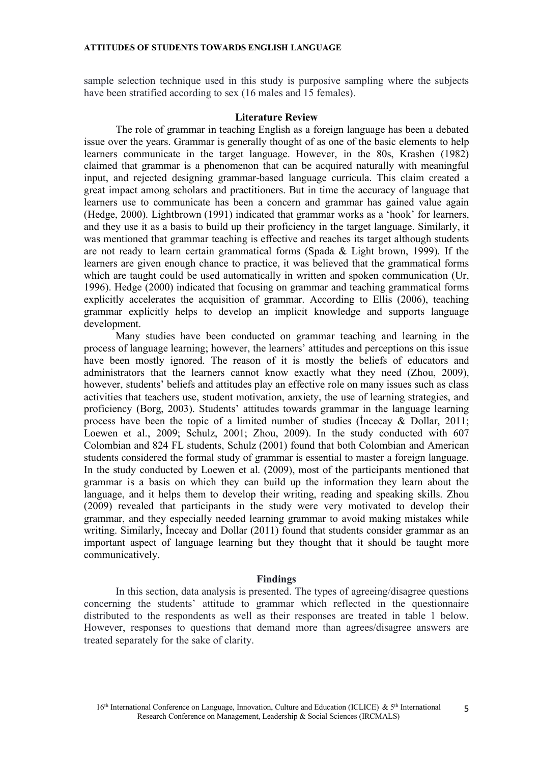sample selection technique used in this study is purposive sampling where the subjects have been stratified according to sex (16 males and 15 females).

# **Literature Review**

The role of grammar in teaching English as a foreign language has been a debated issue over the years. Grammar is generally thought of as one of the basic elements to help learners communicate in the target language. However, in the 80s, Krashen (1982) claimed that grammar is a phenomenon that can be acquired naturally with meaningful input, and rejected designing grammar-based language curricula. This claim created a great impact among scholars and practitioners. But in time the accuracy of language that learners use to communicate has been a concern and grammar has gained value again (Hedge, 2000). Lightbrown (1991) indicated that grammar works as a 'hook' for learners, and they use it as a basis to build up their proficiency in the target language. Similarly, it was mentioned that grammar teaching is effective and reaches its target although students are not ready to learn certain grammatical forms (Spada & Light brown, 1999). If the learners are given enough chance to practice, it was believed that the grammatical forms which are taught could be used automatically in written and spoken communication (Ur, 1996). Hedge (2000) indicated that focusing on grammar and teaching grammatical forms explicitly accelerates the acquisition of grammar. According to Ellis (2006), teaching grammar explicitly helps to develop an implicit knowledge and supports language development.

Many studies have been conducted on grammar teaching and learning in the process of language learning; however, the learners' attitudes and perceptions on this issue have been mostly ignored. The reason of it is mostly the beliefs of educators and administrators that the learners cannot know exactly what they need (Zhou, 2009), however, students' beliefs and attitudes play an effective role on many issues such as class activities that teachers use, student motivation, anxiety, the use of learning strategies, and proficiency (Borg, 2003). Students' attitudes towards grammar in the language learning process have been the topic of a limited number of studies (İncecay & Dollar, 2011; Loewen et al., 2009; Schulz, 2001; Zhou, 2009). In the study conducted with 607 Colombian and 824 FL students, Schulz (2001) found that both Colombian and American students considered the formal study of grammar is essential to master a foreign language. In the study conducted by Loewen et al. (2009), most of the participants mentioned that grammar is a basis on which they can build up the information they learn about the language, and it helps them to develop their writing, reading and speaking skills. Zhou (2009) revealed that participants in the study were very motivated to develop their grammar, and they especially needed learning grammar to avoid making mistakes while writing. Similarly, İncecay and Dollar (2011) found that students consider grammar as an important aspect of language learning but they thought that it should be taught more communicatively.

## **Findings**

In this section, data analysis is presented. The types of agreeing/disagree questions concerning the students' attitude to grammar which reflected in the questionnaire distributed to the respondents as well as their responses are treated in table 1 below. However, responses to questions that demand more than agrees/disagree answers are treated separately for the sake of clarity.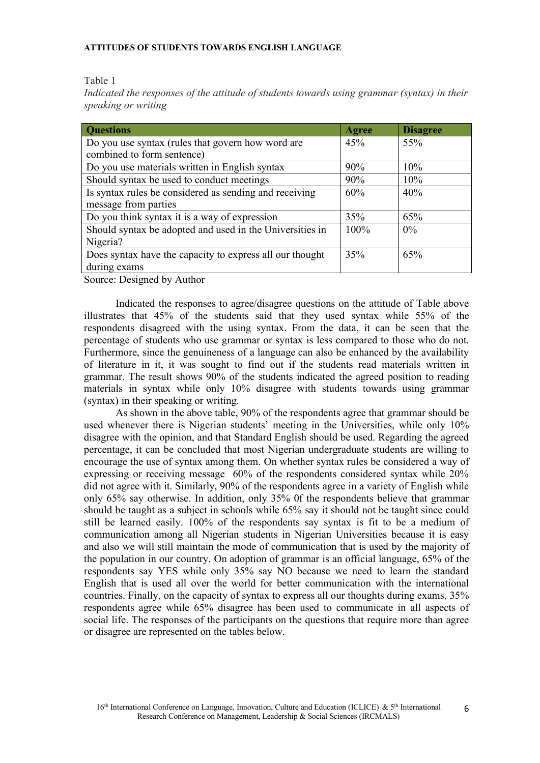Table 1

*Indicated the responses of the attitude of students towards using grammar (syntax) in their speaking or writing*

| <b>Ouestions</b>                                         | Agree | <b>Disagree</b> |
|----------------------------------------------------------|-------|-----------------|
| Do you use syntax (rules that govern how word are        | 45%   | 55%             |
| combined to form sentence)                               |       |                 |
| Do you use materials written in English syntax           | 90%   | 10%             |
| Should syntax be used to conduct meetings                | 90%   | 10%             |
| Is syntax rules be considered as sending and receiving   | 60%   | 40%             |
| message from parties                                     |       |                 |
| Do you think syntax it is a way of expression            | 35%   | 65%             |
| Should syntax be adopted and used in the Universities in | 100%  | $0\%$           |
| Nigeria?                                                 |       |                 |
| Does syntax have the capacity to express all our thought | 35%   | 65%             |
| during exams                                             |       |                 |

Source: Designed by Author

Indicated the responses to agree/disagree questions on the attitude of Table above illustrates that 45% of the students said that they used syntax while 55% of the respondents disagreed with the using syntax. From the data, it can be seen that the percentage of students who use grammar or syntax is less compared to those who do not. Furthermore, since the genuineness of a language can also be enhanced by the availability of literature in it, it was sought to find out if the students read materials written in grammar. The result shows 90% of the students indicated the agreed position to reading materials in syntax while only 10% disagree with students towards using grammar (syntax) in their speaking or writing.

As shown in the above table, 90% of the respondents agree that grammar should be used whenever there is Nigerian students' meeting in the Universities, while only 10% disagree with the opinion, and that Standard English should be used. Regarding the agreed percentage, it can be concluded that most Nigerian undergraduate students are willing to encourage the use of syntax among them. On whether syntax rules be considered a way of expressing or receiving message 60% of the respondents considered syntax while 20% did not agree with it. Similarly, 90% of the respondents agree in a variety of English while only 65% say otherwise. In addition, only 35% 0f the respondents believe that grammar should be taught as a subject in schools while 65% say it should not be taught since could still be learned easily. 100% of the respondents say syntax is fit to be a medium of communication among all Nigerian students in Nigerian Universities because it is easy and also we will still maintain the mode of communication that is used by the majority of the population in our country. On adoption of grammar is an official language, 65% of the respondents say YES while only 35% say NO because we need to learn the standard English that is used all over the world for better communication with the international countries. Finally, on the capacity of syntax to express all our thoughts during exams, 35% respondents agree while 65% disagree has been used to communicate in all aspects of social life. The responses of the participants on the questions that require more than agree or disagree are represented on the tables below.

6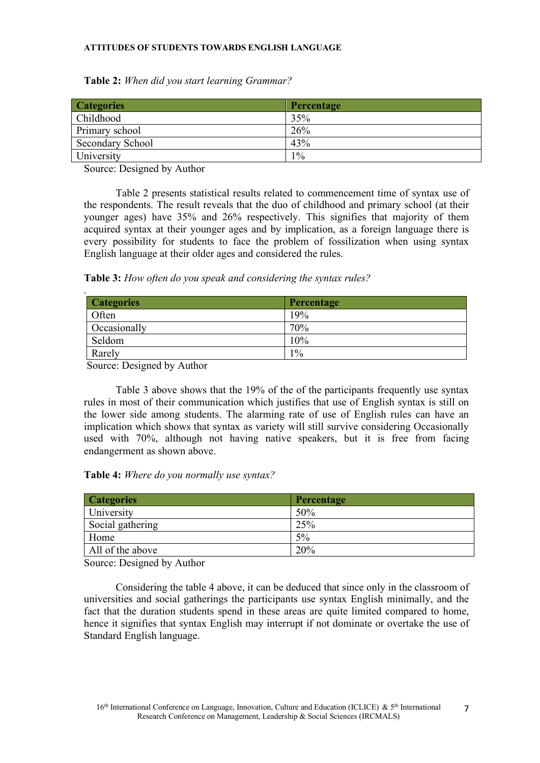| <b>Categories</b> | <b>Percentage</b> |
|-------------------|-------------------|
| Childhood         | 35%               |
| Primary school    | 26%               |
| Secondary School  | 43%               |
| University        | $1\%$             |

**Table 2:** *When did you start learning Grammar?*

Source: Designed by Author

Table 2 presents statistical results related to commencement time of syntax use of the respondents. The result reveals that the duo of childhood and primary school (at their younger ages) have 35% and 26% respectively. This signifies that majority of them acquired syntax at their younger ages and by implication, as a foreign language there is every possibility for students to face the problem of fossilization when using syntax English language at their older ages and considered the rules.

**Table 3:** *How often do you speak and considering the syntax rules?*

| $\bullet$         |            |
|-------------------|------------|
| <b>Categories</b> | Percentage |
| Often             | 19%        |
| Occasionally      | 70%        |
| Seldom            | 10%        |
| Rarely            | $1\%$      |

Source: Designed by Author

Table 3 above shows that the 19% of the of the participants frequently use syntax rules in most of their communication which justifies that use of English syntax is still on the lower side among students. The alarming rate of use of English rules can have an implication which shows that syntax as variety will still survive considering Occasionally used with 70%, although not having native speakers, but it is free from facing endangerment as shown above.

|  |  | Table 4: Where do you normally use syntax? |  |
|--|--|--------------------------------------------|--|
|--|--|--------------------------------------------|--|

| <b>Categories</b> | Percentage |
|-------------------|------------|
| University        | 50%        |
| Social gathering  | 25%        |
| Home              | 5%         |
| All of the above  | 20%        |

Source: Designed by Author

Considering the table 4 above, it can be deduced that since only in the classroom of universities and social gatherings the participants use syntax English minimally, and the fact that the duration students spend in these areas are quite limited compared to home, hence it signifies that syntax English may interrupt if not dominate or overtake the use of Standard English language.

7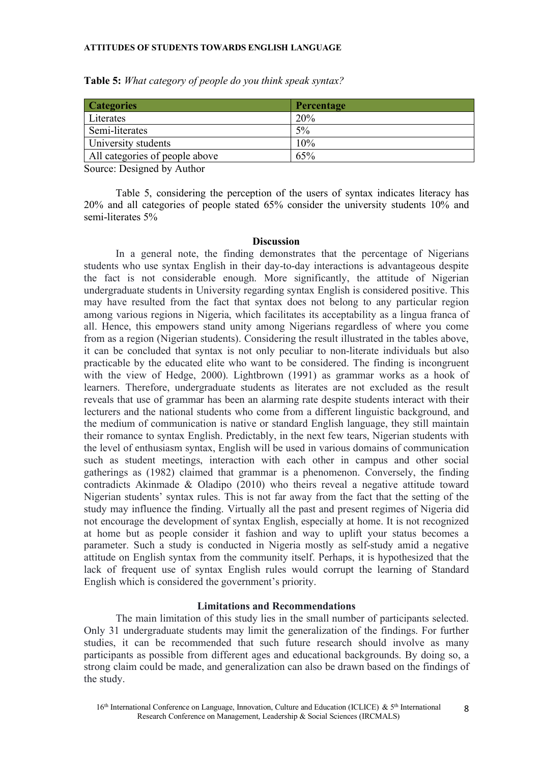| <b>Categories</b>              | <b>Percentage</b> |  |
|--------------------------------|-------------------|--|
| Literates                      | 20%               |  |
| Semi-literates                 | 5%                |  |
| University students            | 10%               |  |
| All categories of people above | 65%               |  |

**Table 5:** *What category of people do you think speak syntax?*

Source: Designed by Author

Table 5, considering the perception of the users of syntax indicates literacy has 20% and all categories of people stated 65% consider the university students 10% and semi-literates 5%

### **Discussion**

In a general note, the finding demonstrates that the percentage of Nigerians students who use syntax English in their day-to-day interactions is advantageous despite the fact is not considerable enough. More significantly, the attitude of Nigerian undergraduate students in University regarding syntax English is considered positive. This may have resulted from the fact that syntax does not belong to any particular region among various regions in Nigeria, which facilitates its acceptability as a lingua franca of all. Hence, this empowers stand unity among Nigerians regardless of where you come from as a region (Nigerian students). Considering the result illustrated in the tables above, it can be concluded that syntax is not only peculiar to non-literate individuals but also practicable by the educated elite who want to be considered. The finding is incongruent with the view of Hedge, 2000). Lightbrown (1991) as grammar works as a hook of learners. Therefore, undergraduate students as literates are not excluded as the result reveals that use of grammar has been an alarming rate despite students interact with their lecturers and the national students who come from a different linguistic background, and the medium of communication is native or standard English language, they still maintain their romance to syntax English. Predictably, in the next few tears, Nigerian students with the level of enthusiasm syntax, English will be used in various domains of communication such as student meetings, interaction with each other in campus and other social gatherings as (1982) claimed that grammar is a phenomenon. Conversely, the finding contradicts Akinmade & Oladipo (2010) who theirs reveal a negative attitude toward Nigerian students' syntax rules. This is not far away from the fact that the setting of the study may influence the finding. Virtually all the past and present regimes of Nigeria did not encourage the development of syntax English, especially at home. It is not recognized at home but as people consider it fashion and way to uplift your status becomes a parameter. Such a study is conducted in Nigeria mostly as self-study amid a negative attitude on English syntax from the community itself. Perhaps, it is hypothesized that the lack of frequent use of syntax English rules would corrupt the learning of Standard English which is considered the government's priority.

# **Limitations and Recommendations**

The main limitation of this study lies in the small number of participants selected. Only 31 undergraduate students may limit the generalization of the findings. For further studies, it can be recommended that such future research should involve as many participants as possible from different ages and educational backgrounds. By doing so, a strong claim could be made, and generalization can also be drawn based on the findings of the study.